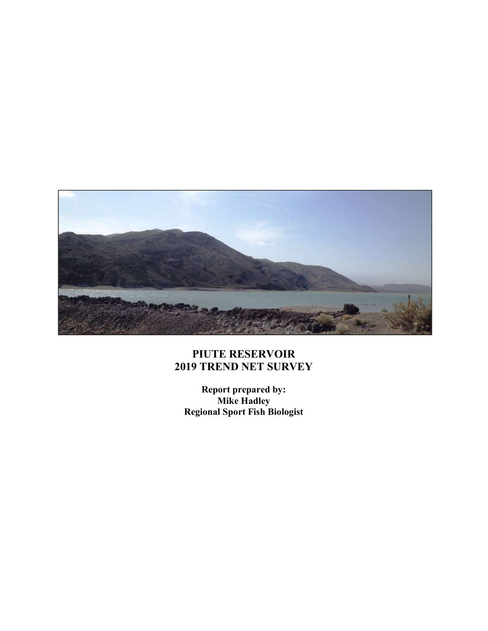

## PIUTE RESERVOIR 2019 TREND NET SURVEY

Report prepared by: Mike Hadley Regional Sport Fish Biologist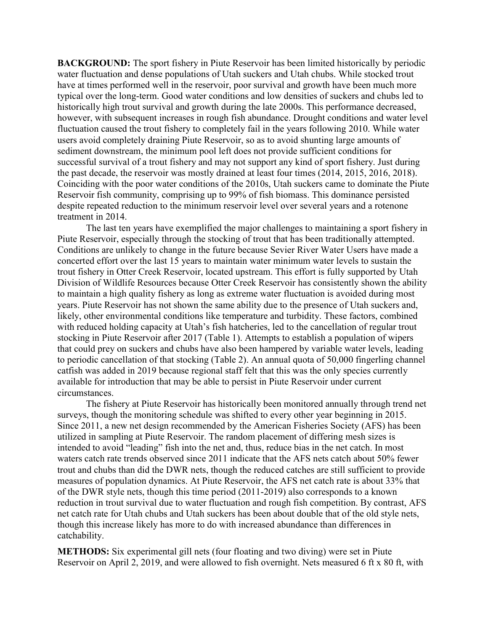**BACKGROUND:** The sport fishery in Piute Reservoir has been limited historically by periodic water fluctuation and dense populations of Utah suckers and Utah chubs. While stocked trout have at times performed well in the reservoir, poor survival and growth have been much more typical over the long-term. Good water conditions and low densities of suckers and chubs led to historically high trout survival and growth during the late 2000s. This performance decreased, however, with subsequent increases in rough fish abundance. Drought conditions and water level fluctuation caused the trout fishery to completely fail in the years following 2010. While water users avoid completely draining Piute Reservoir, so as to avoid shunting large amounts of sediment downstream, the minimum pool left does not provide sufficient conditions for successful survival of a trout fishery and may not support any kind of sport fishery. Just during the past decade, the reservoir was mostly drained at least four times (2014, 2015, 2016, 2018). Coinciding with the poor water conditions of the 2010s, Utah suckers came to dominate the Piute Reservoir fish community, comprising up to 99% of fish biomass. This dominance persisted despite repeated reduction to the minimum reservoir level over several years and a rotenone treatment in 2014.

 The last ten years have exemplified the major challenges to maintaining a sport fishery in Piute Reservoir, especially through the stocking of trout that has been traditionally attempted. Conditions are unlikely to change in the future because Sevier River Water Users have made a concerted effort over the last 15 years to maintain water minimum water levels to sustain the trout fishery in Otter Creek Reservoir, located upstream. This effort is fully supported by Utah Division of Wildlife Resources because Otter Creek Reservoir has consistently shown the ability to maintain a high quality fishery as long as extreme water fluctuation is avoided during most years. Piute Reservoir has not shown the same ability due to the presence of Utah suckers and, likely, other environmental conditions like temperature and turbidity. These factors, combined with reduced holding capacity at Utah's fish hatcheries, led to the cancellation of regular trout stocking in Piute Reservoir after 2017 (Table 1). Attempts to establish a population of wipers that could prey on suckers and chubs have also been hampered by variable water levels, leading to periodic cancellation of that stocking (Table 2). An annual quota of 50,000 fingerling channel catfish was added in 2019 because regional staff felt that this was the only species currently available for introduction that may be able to persist in Piute Reservoir under current circumstances.

The fishery at Piute Reservoir has historically been monitored annually through trend net surveys, though the monitoring schedule was shifted to every other year beginning in 2015. Since 2011, a new net design recommended by the American Fisheries Society (AFS) has been utilized in sampling at Piute Reservoir. The random placement of differing mesh sizes is intended to avoid "leading" fish into the net and, thus, reduce bias in the net catch. In most waters catch rate trends observed since 2011 indicate that the AFS nets catch about 50% fewer trout and chubs than did the DWR nets, though the reduced catches are still sufficient to provide measures of population dynamics. At Piute Reservoir, the AFS net catch rate is about 33% that of the DWR style nets, though this time period (2011-2019) also corresponds to a known reduction in trout survival due to water fluctuation and rough fish competition. By contrast, AFS net catch rate for Utah chubs and Utah suckers has been about double that of the old style nets, though this increase likely has more to do with increased abundance than differences in catchability.

METHODS: Six experimental gill nets (four floating and two diving) were set in Piute Reservoir on April 2, 2019, and were allowed to fish overnight. Nets measured 6 ft x 80 ft, with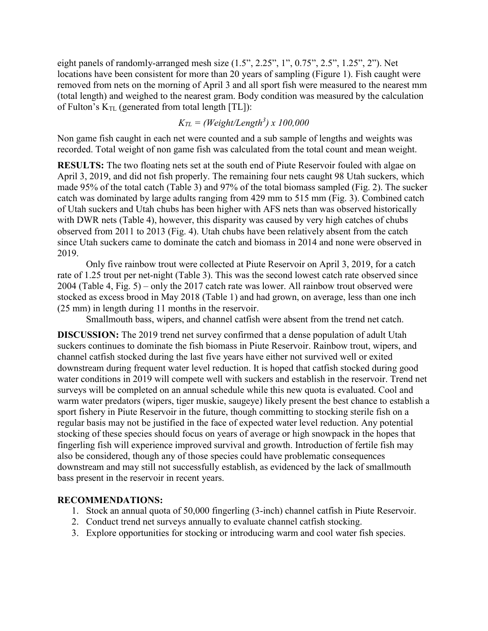eight panels of randomly-arranged mesh size (1.5", 2.25", 1", 0.75", 2.5", 1.25", 2"). Net locations have been consistent for more than 20 years of sampling (Figure 1). Fish caught were removed from nets on the morning of April 3 and all sport fish were measured to the nearest mm (total length) and weighed to the nearest gram. Body condition was measured by the calculation of Fulton's  $K_{TL}$  (generated from total length [TL]):

$$
K_{TL} = (Weight/Length^3) \times 100,000
$$

Non game fish caught in each net were counted and a sub sample of lengths and weights was recorded. Total weight of non game fish was calculated from the total count and mean weight.

RESULTS: The two floating nets set at the south end of Piute Reservoir fouled with algae on April 3, 2019, and did not fish properly. The remaining four nets caught 98 Utah suckers, which made 95% of the total catch (Table 3) and 97% of the total biomass sampled (Fig. 2). The sucker catch was dominated by large adults ranging from 429 mm to 515 mm (Fig. 3). Combined catch of Utah suckers and Utah chubs has been higher with AFS nets than was observed historically with DWR nets (Table 4), however, this disparity was caused by very high catches of chubs observed from 2011 to 2013 (Fig. 4). Utah chubs have been relatively absent from the catch since Utah suckers came to dominate the catch and biomass in 2014 and none were observed in 2019.

Only five rainbow trout were collected at Piute Reservoir on April 3, 2019, for a catch rate of 1.25 trout per net-night (Table 3). This was the second lowest catch rate observed since 2004 (Table 4, Fig. 5) – only the 2017 catch rate was lower. All rainbow trout observed were stocked as excess brood in May 2018 (Table 1) and had grown, on average, less than one inch (25 mm) in length during 11 months in the reservoir.

Smallmouth bass, wipers, and channel catfish were absent from the trend net catch.

DISCUSSION: The 2019 trend net survey confirmed that a dense population of adult Utah suckers continues to dominate the fish biomass in Piute Reservoir. Rainbow trout, wipers, and channel catfish stocked during the last five years have either not survived well or exited downstream during frequent water level reduction. It is hoped that catfish stocked during good water conditions in 2019 will compete well with suckers and establish in the reservoir. Trend net surveys will be completed on an annual schedule while this new quota is evaluated. Cool and warm water predators (wipers, tiger muskie, saugeye) likely present the best chance to establish a sport fishery in Piute Reservoir in the future, though committing to stocking sterile fish on a regular basis may not be justified in the face of expected water level reduction. Any potential stocking of these species should focus on years of average or high snowpack in the hopes that fingerling fish will experience improved survival and growth. Introduction of fertile fish may also be considered, though any of those species could have problematic consequences downstream and may still not successfully establish, as evidenced by the lack of smallmouth bass present in the reservoir in recent years.

## RECOMMENDATIONS:

- 1. Stock an annual quota of 50,000 fingerling (3-inch) channel catfish in Piute Reservoir.
- 2. Conduct trend net surveys annually to evaluate channel catfish stocking.
- 3. Explore opportunities for stocking or introducing warm and cool water fish species.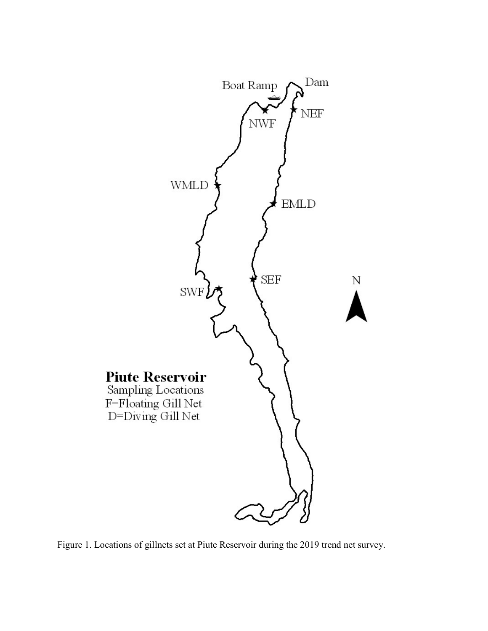

Figure 1. Locations of gillnets set at Piute Reservoir during the 2019 trend net survey.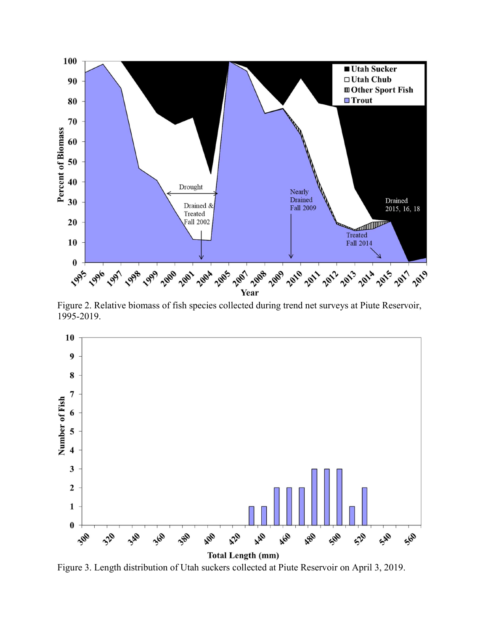

Figure 2. Relative biomass of fish species collected during trend net surveys at Piute Reservoir, 1995-2019.



Figure 3. Length distribution of Utah suckers collected at Piute Reservoir on April 3, 2019.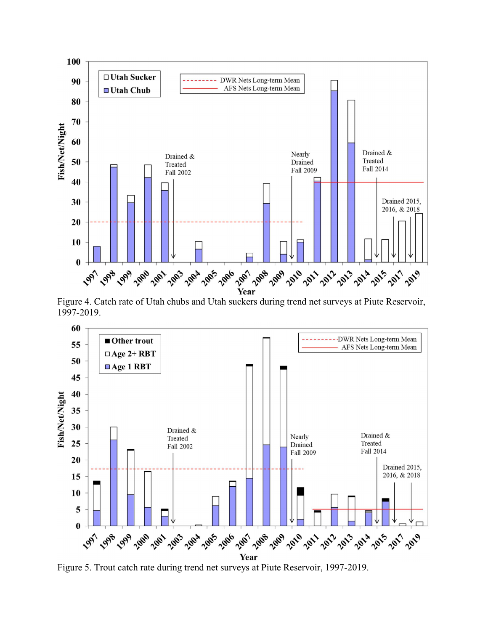

Figure 4. Catch rate of Utah chubs and Utah suckers during trend net surveys at Piute Reservoir, 1997-2019.



Figure 5. Trout catch rate during trend net surveys at Piute Reservoir, 1997-2019.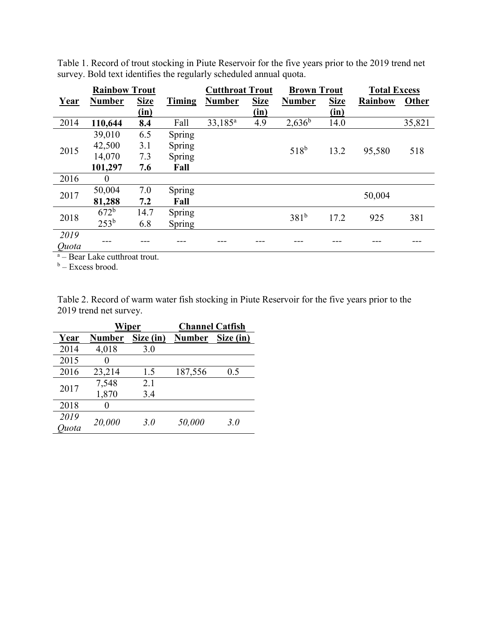|             | <b>Rainbow Trout</b> |             |        | <b>Cutthroat Trout</b> |             | <b>Brown Trout</b> |             | <b>Total Excess</b> |        |
|-------------|----------------------|-------------|--------|------------------------|-------------|--------------------|-------------|---------------------|--------|
| <b>Year</b> | <b>Number</b>        | <b>Size</b> | Timing | <b>Number</b>          | <b>Size</b> | <b>Number</b>      | <b>Size</b> | <b>Rainbow</b>      | Other  |
|             |                      | (in)        |        |                        | (in)        |                    | (in)        |                     |        |
| 2014        | 110,644              | 8.4         | Fall   | 33,185 <sup>a</sup>    | 4.9         | $2,636^b$          | 14.0        |                     | 35,821 |
|             | 39,010               | 6.5         | Spring |                        |             |                    |             |                     |        |
| 2015        | 42,500               | 3.1         | Spring |                        |             | $518^{b}$          | 13.2        | 95,580              | 518    |
|             | 14,070               | 7.3         | Spring |                        |             |                    |             |                     |        |
|             | 101,297              | 7.6         | Fall   |                        |             |                    |             |                     |        |
| 2016        | $\boldsymbol{0}$     |             |        |                        |             |                    |             |                     |        |
| 2017        | 50,004               | 7.0         | Spring |                        |             |                    |             |                     |        |
|             | 81,288               | 7.2         | Fall   |                        |             |                    |             | 50,004              |        |
| 2018        | 672 <sup>b</sup>     | 14.7        | Spring |                        |             | 381 <sup>b</sup>   | 17.2        | 925                 | 381    |
|             | $253^{b}$            | 6.8         | Spring |                        |             |                    |             |                     |        |
| 2019        |                      |             |        |                        |             |                    |             |                     |        |
| Ouota       |                      |             |        |                        |             |                    |             |                     |        |

Table 1. Record of trout stocking in Piute Reservoir for the five years prior to the 2019 trend net survey. Bold text identifies the regularly scheduled annual quota.

<sup>a</sup> – Bear Lake cutthroat trout.

<sup>b</sup> – Excess brood.

Table 2. Record of warm water fish stocking in Piute Reservoir for the five years prior to the 2019 trend net survey.

|       | Wiper  |           | <b>Channel Catfish</b> |           |
|-------|--------|-----------|------------------------|-----------|
| Year  | Number | Size (in) | <b>Number</b>          | Size (in) |
| 2014  | 4,018  | 3.0       |                        |           |
| 2015  |        |           |                        |           |
| 2016  | 23,214 | 1.5       | 187,556                | 0.5       |
| 2017  | 7,548  | 2.1       |                        |           |
|       | 1,870  | 3.4       |                        |           |
| 2018  |        |           |                        |           |
| 2019  | 20,000 | 3.0       | 50,000                 | 3.0       |
| huota |        |           |                        |           |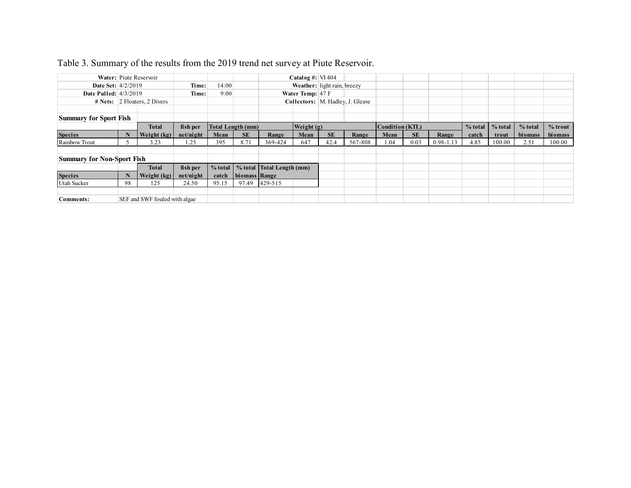| Table 3. Summary of the results from the 2019 trend net survey at Piute Reservoir. |                        |                                         |                       |                                  |                  |                           |                     |                             |                                  |                                |           |               |       |                                        |                      |                      |
|------------------------------------------------------------------------------------|------------------------|-----------------------------------------|-----------------------|----------------------------------|------------------|---------------------------|---------------------|-----------------------------|----------------------------------|--------------------------------|-----------|---------------|-------|----------------------------------------|----------------------|----------------------|
|                                                                                    | Water: Piute Reservoir |                                         |                       |                                  |                  |                           | Catalog #: $VI 404$ |                             |                                  |                                |           |               |       |                                        |                      |                      |
|                                                                                    | Date Set: 4/2/2019     |                                         | Time:                 | 14:00                            |                  |                           |                     | Weather: light rain, breezy |                                  |                                |           |               |       |                                        |                      |                      |
| <b>Date Pulled:</b> 4/3/2019                                                       |                        |                                         | 9:00                  |                                  | Water Temp: 47 F |                           |                     |                             |                                  |                                |           |               |       |                                        |                      |                      |
|                                                                                    |                        |                                         | Time:                 |                                  |                  |                           |                     |                             |                                  |                                |           |               |       |                                        |                      |                      |
|                                                                                    |                        | # Nets: $2$ Floaters, 2 Divers          |                       |                                  |                  |                           |                     |                             | Collectors: M. Hadley, J. Gleave |                                |           |               |       |                                        |                      |                      |
|                                                                                    |                        |                                         |                       |                                  |                  |                           |                     |                             |                                  |                                |           |               |       |                                        |                      |                      |
|                                                                                    |                        |                                         |                       |                                  |                  |                           |                     |                             |                                  |                                |           |               |       |                                        |                      |                      |
| Summary for Sport Fish                                                             | $\mathbf{N}$           | <b>Total</b><br>Weight $(kg)$ net/night | fish per              | <b>Total Length (mm)</b><br>Mean | SE               | Range                     | Weight (g)<br>Mean  | SE                          | Range                            | <b>Condition (KTL)</b><br>Mean | <b>SE</b> | Range         | catch | $%$ total $\sqrt{\ }$ % total<br>trout | $%$ total<br>biomass | $%$ trout<br>biomass |
| <b>Species</b><br>Rainbow Trout                                                    | 5 <sup>5</sup>         | 3.23                                    | 1.25                  | 395                              | 8.71             | 369-424                   | 647                 | 42.4                        | 567-808                          | 1.04                           | 0.03      | $0.98 - 1.13$ | 4.85  | 100.00                                 | 2.51                 | 100.00               |
|                                                                                    |                        |                                         |                       |                                  |                  |                           |                     |                             |                                  |                                |           |               |       |                                        |                      |                      |
| Summary for Non-Sport Fish                                                         |                        |                                         |                       |                                  |                  |                           |                     |                             |                                  |                                |           |               |       |                                        |                      |                      |
|                                                                                    | $\mathbf{N}$           | <b>Total</b><br>Weight $(kg)$           | fish per<br>net/night | % total<br>catch                 |                  | % total Total Length (mm) |                     |                             |                                  |                                |           |               |       |                                        |                      |                      |
|                                                                                    | 98                     | 125                                     | 24.50                 | 95.15                            | biomass Range    | 97.49 429-515             |                     |                             |                                  |                                |           |               |       |                                        |                      |                      |
| Species<br>Utah Sucker<br>Comments:                                                |                        | SEF and SWF fouled with algae           |                       |                                  |                  |                           |                     |                             |                                  |                                |           |               |       |                                        |                      |                      |

## Table 3. Summary of the results from the 2019 trend net survey at Piute Reservoir.